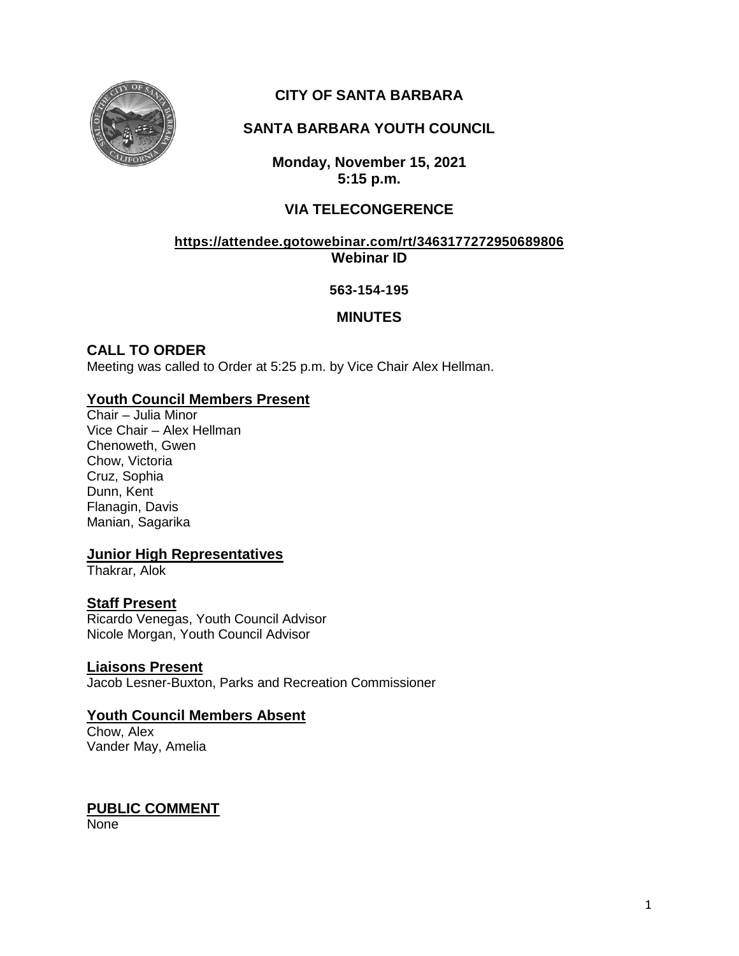

# **CITY OF SANTA BARBARA**

# **SANTA BARBARA YOUTH COUNCIL**

**Monday, November 15, 2021 5:15 p.m.**

# **VIA TELECONGERENCE**

### **<https://attendee.gotowebinar.com/rt/3463177272950689806> Webinar ID**

### **563-154-195**

# **MINUTES**

# **CALL TO ORDER**

Meeting was called to Order at 5:25 p.m. by Vice Chair Alex Hellman.

## **Youth Council Members Present**

Chair – Julia Minor Vice Chair – Alex Hellman Chenoweth, Gwen Chow, Victoria Cruz, Sophia Dunn, Kent Flanagin, Davis Manian, Sagarika

## **Junior High Representatives**

Thakrar, Alok

## **Staff Present**

Ricardo Venegas, Youth Council Advisor Nicole Morgan, Youth Council Advisor

#### **Liaisons Present**

Jacob Lesner-Buxton, Parks and Recreation Commissioner

## **Youth Council Members Absent**

Chow, Alex Vander May, Amelia

# **PUBLIC COMMENT**

None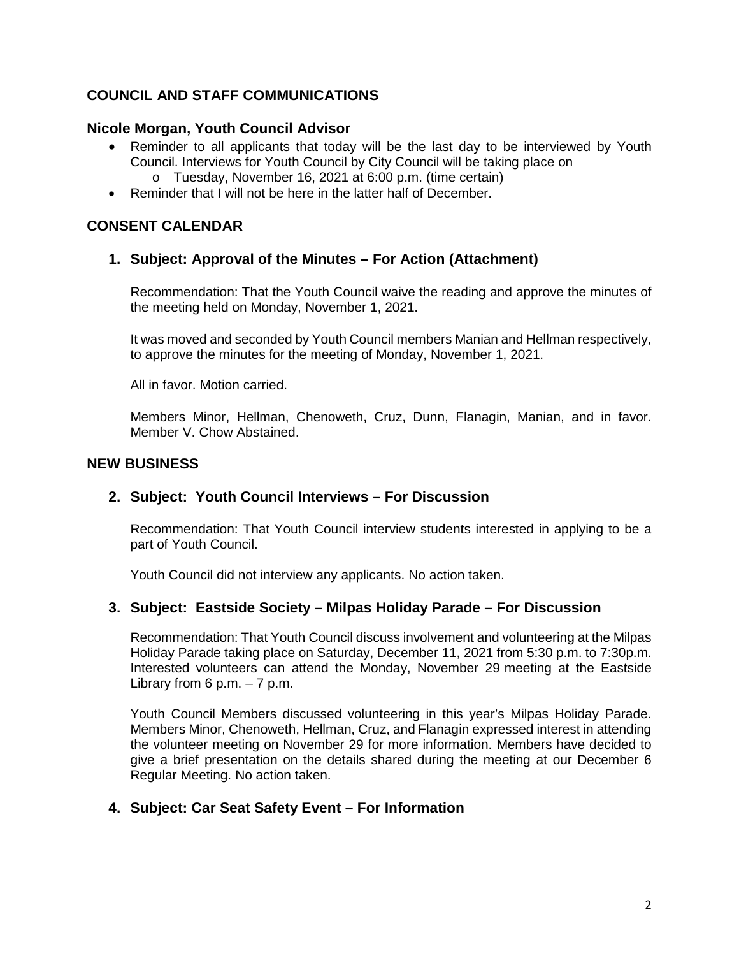# **COUNCIL AND STAFF COMMUNICATIONS**

### **Nicole Morgan, Youth Council Advisor**

- Reminder to all applicants that today will be the last day to be interviewed by Youth Council. Interviews for Youth Council by City Council will be taking place on o Tuesday, November 16, 2021 at 6:00 p.m. (time certain)
- Reminder that I will not be here in the latter half of December.

## **CONSENT CALENDAR**

#### **1. Subject: Approval of the Minutes – For Action (Attachment)**

Recommendation: That the Youth Council waive the reading and approve the minutes of the meeting held on Monday, November 1, 2021.

It was moved and seconded by Youth Council members Manian and Hellman respectively, to approve the minutes for the meeting of Monday, November 1, 2021.

All in favor. Motion carried.

Members Minor, Hellman, Chenoweth, Cruz, Dunn, Flanagin, Manian, and in favor. Member V. Chow Abstained.

#### **NEW BUSINESS**

#### **2. Subject: Youth Council Interviews – For Discussion**

Recommendation: That Youth Council interview students interested in applying to be a part of Youth Council.

Youth Council did not interview any applicants. No action taken.

#### **3. Subject: Eastside Society – Milpas Holiday Parade – For Discussion**

Recommendation: That Youth Council discuss involvement and volunteering at the Milpas Holiday Parade taking place on Saturday, December 11, 2021 from 5:30 p.m. to 7:30p.m. Interested volunteers can attend the Monday, November 29 meeting at the Eastside Library from  $6$  p.m.  $-7$  p.m.

Youth Council Members discussed volunteering in this year's Milpas Holiday Parade. Members Minor, Chenoweth, Hellman, Cruz, and Flanagin expressed interest in attending the volunteer meeting on November 29 for more information. Members have decided to give a brief presentation on the details shared during the meeting at our December 6 Regular Meeting. No action taken.

#### **4. Subject: Car Seat Safety Event – For Information**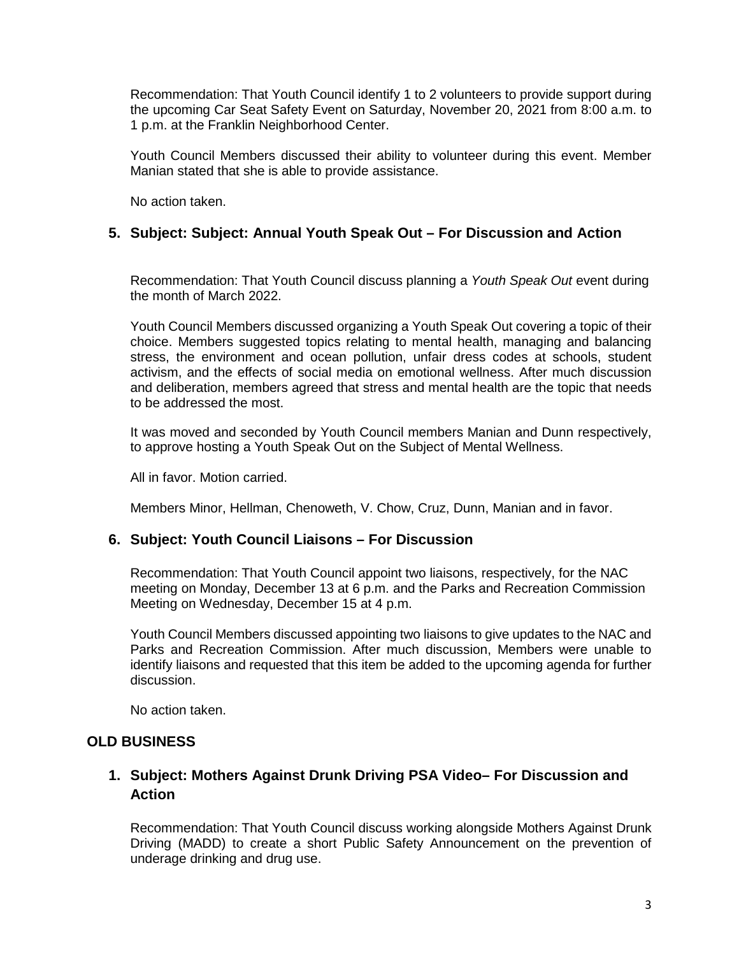Recommendation: That Youth Council identify 1 to 2 volunteers to provide support during the upcoming Car Seat Safety Event on Saturday, November 20, 2021 from 8:00 a.m. to 1 p.m. at the Franklin Neighborhood Center.

Youth Council Members discussed their ability to volunteer during this event. Member Manian stated that she is able to provide assistance.

No action taken.

### **5. Subject: Subject: Annual Youth Speak Out – For Discussion and Action**

Recommendation: That Youth Council discuss planning a *Youth Speak Out* event during the month of March 2022.

Youth Council Members discussed organizing a Youth Speak Out covering a topic of their choice. Members suggested topics relating to mental health, managing and balancing stress, the environment and ocean pollution, unfair dress codes at schools, student activism, and the effects of social media on emotional wellness. After much discussion and deliberation, members agreed that stress and mental health are the topic that needs to be addressed the most.

It was moved and seconded by Youth Council members Manian and Dunn respectively, to approve hosting a Youth Speak Out on the Subject of Mental Wellness.

All in favor. Motion carried.

Members Minor, Hellman, Chenoweth, V. Chow, Cruz, Dunn, Manian and in favor.

#### **6. Subject: Youth Council Liaisons – For Discussion**

Recommendation: That Youth Council appoint two liaisons, respectively, for the NAC meeting on Monday, December 13 at 6 p.m. and the Parks and Recreation Commission Meeting on Wednesday, December 15 at 4 p.m.

Youth Council Members discussed appointing two liaisons to give updates to the NAC and Parks and Recreation Commission. After much discussion, Members were unable to identify liaisons and requested that this item be added to the upcoming agenda for further discussion.

No action taken.

#### **OLD BUSINESS**

## **1. Subject: Mothers Against Drunk Driving PSA Video– For Discussion and Action**

Recommendation: That Youth Council discuss working alongside Mothers Against Drunk Driving (MADD) to create a short Public Safety Announcement on the prevention of underage drinking and drug use.